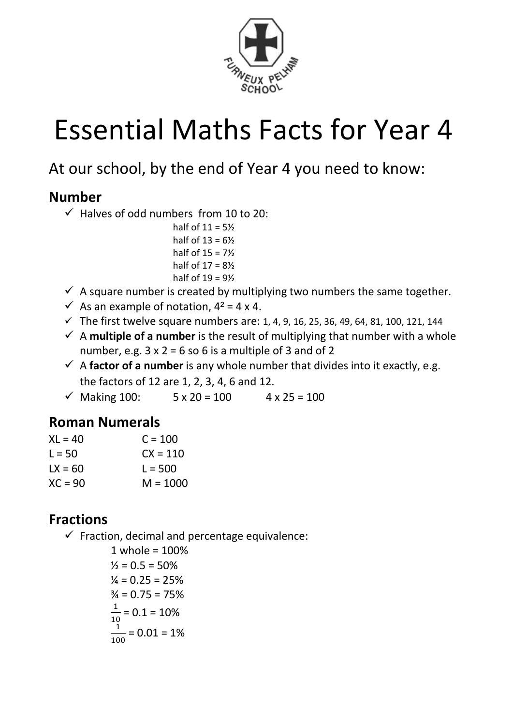

# Essential Maths Facts for Year 4

## At our school, by the end of Year 4 you need to know:

#### **Number**

- $\checkmark$  Halves of odd numbers from 10 to 20:
	- half of  $11 = 5\%$ half of  $13 = 6\frac{1}{2}$ half of  $15 = 7\frac{1}{2}$ half of  $17 = 8\frac{1}{2}$ half of  $19 = 9\frac{1}{2}$
- $\checkmark$  A square number is created by multiplying two numbers the same together.
- $\checkmark$  As an example of notation,  $4^2$  = 4 x 4.
- $\checkmark$  The first twelve square numbers are: 1, 4, 9, 16, 25, 36, 49, 64, 81, 100, 121, 144
- $\checkmark$  A **multiple of a number** is the result of multiplying that number with a whole number, e.g.  $3 \times 2 = 6$  so 6 is a multiple of 3 and of 2
- $\checkmark$  A **factor of a number** is any whole number that divides into it exactly, e.g. the factors of 12 are 1, 2, 3, 4, 6 and 12.
- $\checkmark$  Making 100:  $5 \times 20 = 100$   $4 \times 25 = 100$

#### **Roman Numerals**

| $X = 40$  | $C = 100$  |
|-----------|------------|
| $1 = 50$  | $CX = 110$ |
| $1X = 60$ | $L = 500$  |
| $XC = 90$ | $M = 1000$ |

### **Fractions**

 $\checkmark$  Fraction, decimal and percentage equivalence:

1 whole = 100%  $\frac{1}{2}$  = 0.5 = 50%  $\frac{1}{4}$  = 0.25 = 25%  $\frac{3}{4}$  = 0.75 = 75% 1  $\frac{1}{10}$  = 0.1 = 10% 1  $\frac{1}{100}$  = 0.01 = 1%